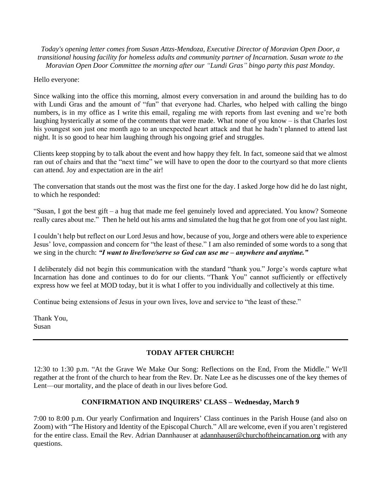*Today's opening letter comes from Susan Attzs-Mendoza, Executive Director of Moravian Open Door, a transitional housing facility for homeless adults and community partner of Incarnation. Susan wrote to the Moravian Open Door Committee the morning after our "Lundi Gras" bingo party this past Monday.*

#### Hello everyone:

Since walking into the office this morning, almost every conversation in and around the building has to do with Lundi Gras and the amount of "fun" that everyone had. Charles, who helped with calling the bingo numbers, is in my office as I write this email, regaling me with reports from last evening and we're both laughing hysterically at some of the comments that were made. What none of you know – is that Charles lost his youngest son just one month ago to an unexpected heart attack and that he hadn't planned to attend last night. It is so good to hear him laughing through his ongoing grief and struggles.

Clients keep stopping by to talk about the event and how happy they felt. In fact, someone said that we almost ran out of chairs and that the "next time" we will have to open the door to the courtyard so that more clients can attend. Joy and expectation are in the air!

The conversation that stands out the most was the first one for the day. I asked Jorge how did he do last night, to which he responded:

"Susan, I got the best gift – a hug that made me feel genuinely loved and appreciated. You know? Someone really cares about me."Then he held out his arms and simulated the hug that he got from one of you last night.

I couldn't help but reflect on our Lord Jesus and how, because of you, Jorge and others were able to experience Jesus' love, compassion and concern for "the least of these." I am also reminded of some words to a song that we sing in the church: *"I want to live/love/serve so God can use me – anywhere and anytime."*

I deliberately did not begin this communication with the standard "thank you." Jorge's words capture what Incarnation has done and continues to do for our clients. "Thank You" cannot sufficiently or effectively express how we feel at MOD today, but it is what I offer to you individually and collectively at this time.

Continue being extensions of Jesus in your own lives, love and service to "the least of these."

Thank You, Susan

# **TODAY AFTER CHURCH!**

12:30 to 1:30 p.m. "At the Grave We Make Our Song: Reflections on the End, From the Middle." We'll regather at the front of the church to hear from the Rev. Dr. Nate Lee as he discusses one of the key themes of Lent––our mortality, and the place of death in our lives before God.

## **CONFIRMATION AND INQUIRERS' CLASS – Wednesday, March 9**

7:00 to 8:00 p.m. Our yearly Confirmation and Inquirers' Class continues in the Parish House (and also on Zoom) with "The History and Identity of the Episcopal Church." All are welcome, even if you aren't registered for the entire class. Email the Rev. Adrian Dannhauser at [adannhauser@churchoftheincarnation.org](mailto:adannhauser@churchoftheincarnation.or) with any questions.